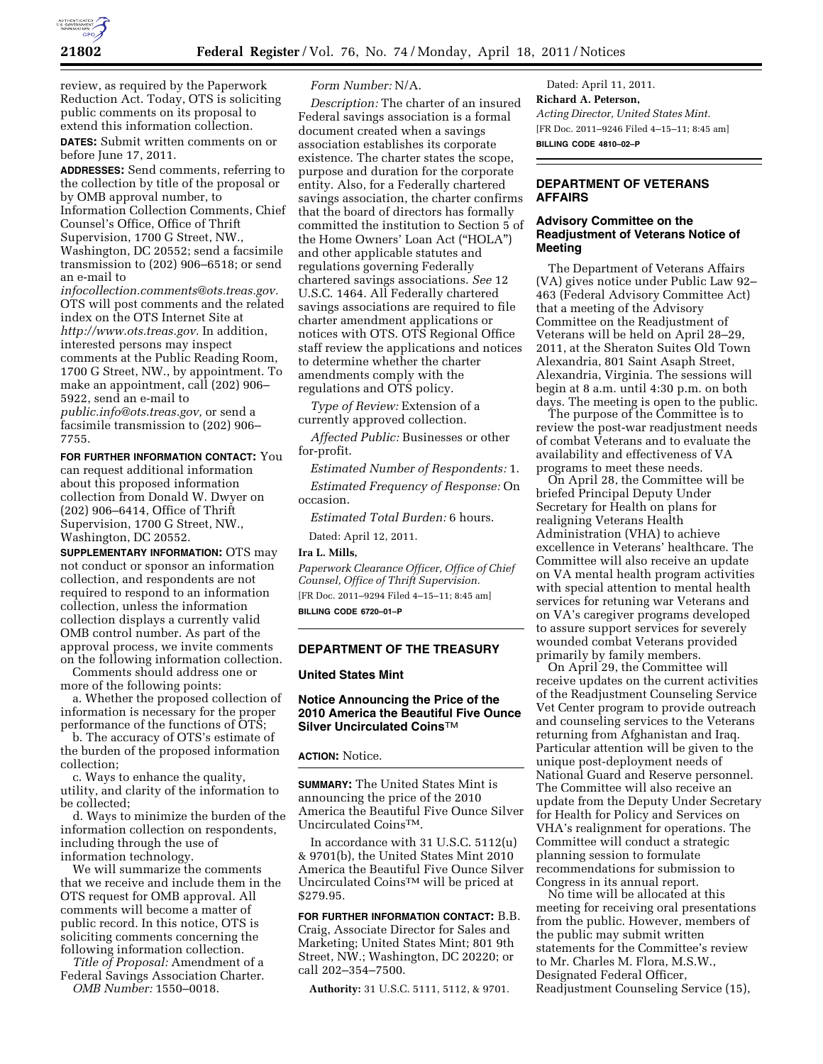

review, as required by the Paperwork Reduction Act. Today, OTS is soliciting public comments on its proposal to extend this information collection.

**DATES:** Submit written comments on or before June 17, 2011.

**ADDRESSES:** Send comments, referring to the collection by title of the proposal or by OMB approval number, to Information Collection Comments, Chief Counsel's Office, Office of Thrift Supervision, 1700 G Street, NW., Washington, DC 20552; send a facsimile

transmission to (202) 906–6518; or send an e-mail to

*[infocollection.comments@ots.treas.gov.](mailto:infocollection.comments@ots.treas.gov)*  OTS will post comments and the related index on the OTS Internet Site at *[http://www.ots.treas.gov.](http://www.ots.treas.gov)* In addition, interested persons may inspect comments at the Public Reading Room, 1700 G Street, NW., by appointment. To make an appointment, call (202) 906– 5922, send an e-mail to

*[public.info@ots.treas.gov,](mailto:public.info@ots.treas.gov)* or send a facsimile transmission to (202) 906– 7755.

**FOR FURTHER INFORMATION CONTACT:** You

can request additional information about this proposed information collection from Donald W. Dwyer on (202) 906–6414, Office of Thrift Supervision, 1700 G Street, NW., Washington, DC 20552.

**SUPPLEMENTARY INFORMATION:** OTS may not conduct or sponsor an information collection, and respondents are not required to respond to an information collection, unless the information collection displays a currently valid OMB control number. As part of the approval process, we invite comments on the following information collection.

Comments should address one or more of the following points:

a. Whether the proposed collection of information is necessary for the proper performance of the functions of OTS;

b. The accuracy of OTS's estimate of the burden of the proposed information collection;

c. Ways to enhance the quality, utility, and clarity of the information to be collected;

d. Ways to minimize the burden of the information collection on respondents, including through the use of information technology.

We will summarize the comments that we receive and include them in the OTS request for OMB approval. All comments will become a matter of public record. In this notice, OTS is soliciting comments concerning the following information collection.

*Title of Proposal:* Amendment of a Federal Savings Association Charter.

*OMB Number:* 1550–0018.

## *Form Number:* N/A.

*Description:* The charter of an insured Federal savings association is a formal document created when a savings association establishes its corporate existence. The charter states the scope, purpose and duration for the corporate entity. Also, for a Federally chartered savings association, the charter confirms that the board of directors has formally committed the institution to Section 5 of the Home Owners' Loan Act (''HOLA'') and other applicable statutes and regulations governing Federally chartered savings associations. *See* 12 U.S.C. 1464. All Federally chartered savings associations are required to file charter amendment applications or notices with OTS. OTS Regional Office staff review the applications and notices to determine whether the charter amendments comply with the regulations and OTS policy.

*Type of Review:* Extension of a currently approved collection.

*Affected Public:* Businesses or other for-profit.

*Estimated Number of Respondents:* 1.

*Estimated Frequency of Response:* On occasion.

*Estimated Total Burden:* 6 hours.

Dated: April 12, 2011.

**Ira L. Mills,** 

*Paperwork Clearance Officer, Office of Chief Counsel, Office of Thrift Supervision.*  [FR Doc. 2011–9294 Filed 4–15–11; 8:45 am] **BILLING CODE 6720–01–P** 

# **DEPARTMENT OF THE TREASURY**

## **United States Mint**

## **Notice Announcing the Price of the 2010 America the Beautiful Five Ounce Silver Uncirculated Coins**TM

#### **ACTION:** Notice.

**SUMMARY:** The United States Mint is announcing the price of the 2010 America the Beautiful Five Ounce Silver Uncirculated CoinsTM.

In accordance with 31 U.S.C. 5112(u) & 9701(b), the United States Mint 2010 America the Beautiful Five Ounce Silver Uncirculated CoinsTM will be priced at \$279.95.

**FOR FURTHER INFORMATION CONTACT:** B.B. Craig, Associate Director for Sales and Marketing; United States Mint; 801 9th Street, NW.; Washington, DC 20220; or call 202–354–7500.

**Authority:** 31 U.S.C. 5111, 5112, & 9701.

Dated: April 11, 2011. **Richard A. Peterson,**  *Acting Director, United States Mint.*  [FR Doc. 2011–9246 Filed 4–15–11; 8:45 am] **BILLING CODE 4810–02–P** 

#### **DEPARTMENT OF VETERANS AFFAIRS**

#### **Advisory Committee on the Readjustment of Veterans Notice of Meeting**

The Department of Veterans Affairs (VA) gives notice under Public Law 92– 463 (Federal Advisory Committee Act) that a meeting of the Advisory Committee on the Readjustment of Veterans will be held on April 28–29, 2011, at the Sheraton Suites Old Town Alexandria, 801 Saint Asaph Street, Alexandria, Virginia. The sessions will begin at 8 a.m. until 4:30 p.m. on both days. The meeting is open to the public.

The purpose of the Committee is to review the post-war readjustment needs of combat Veterans and to evaluate the availability and effectiveness of VA programs to meet these needs.

On April 28, the Committee will be briefed Principal Deputy Under Secretary for Health on plans for realigning Veterans Health Administration (VHA) to achieve excellence in Veterans' healthcare. The Committee will also receive an update on VA mental health program activities with special attention to mental health services for retuning war Veterans and on VA's caregiver programs developed to assure support services for severely wounded combat Veterans provided primarily by family members.

On April 29, the Committee will receive updates on the current activities of the Readjustment Counseling Service Vet Center program to provide outreach and counseling services to the Veterans returning from Afghanistan and Iraq. Particular attention will be given to the unique post-deployment needs of National Guard and Reserve personnel. The Committee will also receive an update from the Deputy Under Secretary for Health for Policy and Services on VHA's realignment for operations. The Committee will conduct a strategic planning session to formulate recommendations for submission to Congress in its annual report.

No time will be allocated at this meeting for receiving oral presentations from the public. However, members of the public may submit written statements for the Committee's review to Mr. Charles M. Flora, M.S.W., Designated Federal Officer, Readjustment Counseling Service (15),